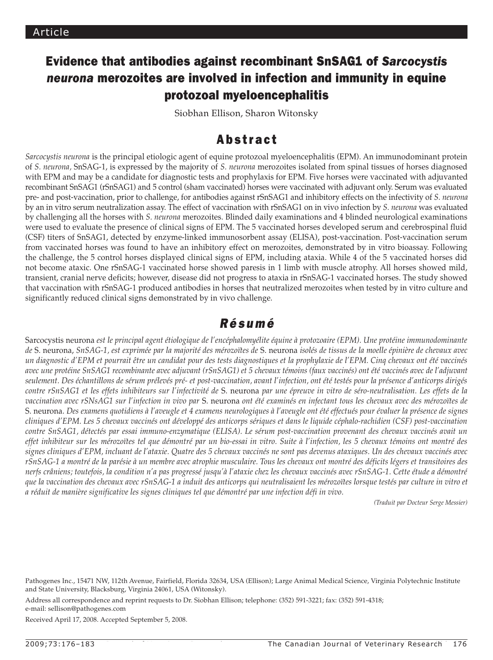# Evidence that antibodies against recombinant SnSAG1 of *Sarcocystis neurona* merozoites are involved in infection and immunity in equine protozoal myeloencephalitis

Siobhan Ellison, Sharon Witonsky

## Abstract

*Sarcocystis neurona* is the principal etiologic agent of equine protozoal myeloencephalitis (EPM). An immunodominant protein of *S. neurona,* SnSAG-1, is expressed by the majority of *S. neurona* merozoites isolated from spinal tissues of horses diagnosed with EPM and may be a candidate for diagnostic tests and prophylaxis for EPM. Five horses were vaccinated with adjuvanted recombinant SnSAG1 (rSnSAG1) and 5 control (sham vaccinated) horses were vaccinated with adjuvant only. Serum was evaluated pre- and post-vaccination, prior to challenge, for antibodies against rSnSAG1 and inhibitory effects on the infectivity of *S. neurona*  by an in vitro serum neutralization assay. The effect of vaccination with rSnSAG1 on in vivo infection by *S. neurona* was evaluated by challenging all the horses with *S. neurona* merozoites. Blinded daily examinations and 4 blinded neurological examinations were used to evaluate the presence of clinical signs of EPM. The 5 vaccinated horses developed serum and cerebrospinal fluid (CSF) titers of SnSAG1, detected by enzyme-linked immunosorbent assay (ELISA), post-vaccination. Post-vaccination serum from vaccinated horses was found to have an inhibitory effect on merozoites, demonstrated by in vitro bioassay. Following the challenge, the 5 control horses displayed clinical signs of EPM, including ataxia. While 4 of the 5 vaccinated horses did not become ataxic. One rSnSAG-1 vaccinated horse showed paresis in 1 limb with muscle atrophy. All horses showed mild, transient, cranial nerve deficits; however, disease did not progress to ataxia in rSnSAG-1 vaccinated horses. The study showed that vaccination with rSnSAG-1 produced antibodies in horses that neutralized merozoites when tested by in vitro culture and significantly reduced clinical signs demonstrated by in vivo challenge.

## *Résumé*

Sarcocystis neurona *est le principal agent étiologique de l'encéphalomyélite équine à protozoaire (EPM). Une protéine immunodominante de* S. neurona, *SnSAG-1, est exprimée par la majorité des mérozoïtes de* S. neurona *isolés de tissus de la moelle épinière de chevaux avec un diagnostic d'EPM et pourrait être un candidat pour des tests diagnostiques et la prophylaxie de l'EPM. Cinq chevaux ont été vaccinés avec une protéine SnSAG1 recombinante avec adjuvant (rSnSAG1) et 5 chevaux témoins (faux vaccinés) ont été vaccinés avec de l'adjuvant seulement. Des échantillons de sérum prélevés pré- et post-vaccination, avant l'infection, ont été testés pour la présence d'anticorps dirigés contre rSnSAG1 et les effets inhibiteurs sur l'infectivité de* S. neurona *par une épreuve in vitro de séro-neutralisation. Les effets de la vaccination avec rSNsAG1 sur l'infection in vivo par* S. neurona *ont été examinés en infectant tous les chevaux avec des mérozoïtes de*  S. neurona. *Des examens quotidiens à l'aveugle et 4 examens neurologiques à l'aveugle ont été effectués pour évaluer la présence de signes cliniques d'EPM. Les 5 chevaux vaccinés ont développé des anticorps sériques et dans le liquide céphalo-rachidien (CSF) post-vaccination contre SnSAG1, détectés par essai immuno-enzymatique (ELISA). Le sérum post-vaccination provenant des chevaux vaccinés avait un effet inhibiteur sur les mérozoïtes tel que démontré par un bio-essai in vitro. Suite à l'infection, les 5 chevaux témoins ont montré des signes cliniques d'EPM, incluant de l'ataxie. Quatre des 5 chevaux vaccinés ne sont pas devenus ataxiques. Un des chevaux vaccinés avec rSnSAG-1 a montré de la parésie à un membre avec atrophie musculaire. Tous les chevaux ont montré des déficits légers et transitoires des nerfs crâniens; toutefois, la condition n'a pas progressé jusqu'à l'ataxie chez les chevaux vaccinés avec rSnSAG-1. Cette étude a démontré que la vaccination des chevaux avec rSnSAG-1 a induit des anticorps qui neutralisaient les mérozoïtes lorsque testés par culture in vitro et a réduit de manière significative les signes cliniques tel que démontré par une infection défi in vivo.*

*(Traduit par Docteur Serge Messier)* 

Address all correspondence and reprint requests to Dr. Siobhan Ellison; telephone: (352) 591-3221; fax: (352) 591-4318; e-mail: sellison@pathogenes.com

Received April 17, 2008. Accepted September 5, 2008.

Pathogenes Inc., 15471 NW, 112th Avenue, Fairfield, Florida 32634, USA (Ellison); Large Animal Medical Science, Virginia Polytechnic Institute and State University, Blacksburg, Virginia 24061, USA (Witonsky).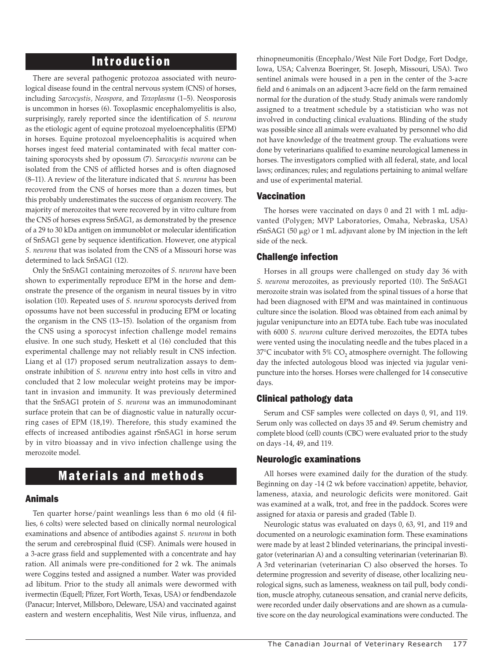### Introduction

There are several pathogenic protozoa associated with neurological disease found in the central nervous system (CNS) of horses, including *Sarcocystis, Neospora,* and *Toxoplasma* (1–5). Neosporosis is uncommon in horses (6). Toxoplasmic encephalomyelitis is also, surprisingly, rarely reported since the identification of *S. neurona* as the etiologic agent of equine protozoal myeloencephalitis (EPM) in horses. Equine protozoal myeloencephalitis is acquired when horses ingest feed material contaminated with fecal matter containing sporocysts shed by opossum (7). *Sarcocystis neurona* can be isolated from the CNS of afflicted horses and is often diagnosed (8–11). A review of the literature indicated that *S. neurona* has been recovered from the CNS of horses more than a dozen times, but this probably underestimates the success of organism recovery. The majority of merozoites that were recovered by in vitro culture from the CNS of horses express SnSAG1, as demonstrated by the presence of a 29 to 30 kDa antigen on immunoblot or molecular identification of SnSAG1 gene by sequence identification. However, one atypical *S. neurona* that was isolated from the CNS of a Missouri horse was determined to lack SnSAG1 (12).

Only the SnSAG1 containing merozoites of *S. neurona* have been shown to experimentally reproduce EPM in the horse and demonstrate the presence of the organism in neural tissues by in vitro isolation (10). Repeated uses of *S. neurona* sporocysts derived from opossums have not been successful in producing EPM or locating the organism in the CNS (13–15). Isolation of the organism from the CNS using a sporocyst infection challenge model remains elusive. In one such study, Heskett et al (16) concluded that this experimental challenge may not reliably result in CNS infection. Liang et al (17) proposed serum neutralization assays to demonstrate inhibition of *S. neurona* entry into host cells in vitro and concluded that 2 low molecular weight proteins may be important in invasion and immunity. It was previously determined that the SnSAG1 protein of *S. neurona* was an immunodominant surface protein that can be of diagnostic value in naturally occurring cases of EPM (18,19). Therefore, this study examined the effects of increased antibodies against rSnSAG1 in horse serum by in vitro bioassay and in vivo infection challenge using the merozoite model.

### Materials and methods

#### Animals

Ten quarter horse/paint weanlings less than 6 mo old (4 fillies, 6 colts) were selected based on clinically normal neurological examinations and absence of antibodies against *S. neurona* in both the serum and cerebrospinal fluid (CSF). Animals were housed in a 3-acre grass field and supplemented with a concentrate and hay ration. All animals were pre-conditioned for 2 wk. The animals were Coggins tested and assigned a number. Water was provided ad libitum. Prior to the study all animals were dewormed with ivermectin (Equell; Pfizer, Fort Worth, Texas, USA) or fendbendazole (Panacur; Intervet, Millsboro, Deleware, USA) and vaccinated against eastern and western encephalitis, West Nile virus, influenza, and rhinopneumonitis (Encephalo/West Nile Fort Dodge, Fort Dodge, Iowa, USA; Calvenza Boeringer, St. Joseph, Missouri, USA). Two sentinel animals were housed in a pen in the center of the 3-acre field and 6 animals on an adjacent 3-acre field on the farm remained normal for the duration of the study. Study animals were randomly assigned to a treatment schedule by a statistician who was not involved in conducting clinical evaluations. Blinding of the study was possible since all animals were evaluated by personnel who did not have knowledge of the treatment group. The evaluations were done by veterinarians qualified to examine neurological lameness in horses. The investigators complied with all federal, state, and local laws; ordinances; rules; and regulations pertaining to animal welfare and use of experimental material.

#### Vaccination

The horses were vaccinated on days 0 and 21 with 1 mL adjuvanted (Polygen; MVP Laboratories, Omaha, Nebraska, USA) rSnSAG1 (50  $\mu$ g) or 1 mL adjuvant alone by IM injection in the left side of the neck.

#### Challenge infection

Horses in all groups were challenged on study day 36 with *S. neurona* merozoites, as previously reported (10). The SnSAG1 merozoite strain was isolated from the spinal tissues of a horse that had been diagnosed with EPM and was maintained in continuous culture since the isolation. Blood was obtained from each animal by jugular venipuncture into an EDTA tube. Each tube was inoculated with 6000 *S. neurona* culture derived merozoites, the EDTA tubes were vented using the inoculating needle and the tubes placed in a  $37^{\circ}$ C incubator with  $5\%$  CO<sub>2</sub> atmosphere overnight. The following day the infected autologous blood was injected via jugular venipuncture into the horses. Horses were challenged for 14 consecutive days.

#### Clinical pathology data

Serum and CSF samples were collected on days 0, 91, and 119. Serum only was collected on days 35 and 49. Serum chemistry and complete blood (cell) counts (CBC) were evaluated prior to the study on days -14, 49, and 119.

#### Neurologic examinations

All horses were examined daily for the duration of the study. Beginning on day -14 (2 wk before vaccination) appetite, behavior, lameness, ataxia, and neurologic deficits were monitored. Gait was examined at a walk, trot, and free in the paddock. Scores were assigned for ataxia or paresis and graded (Table I).

Neurologic status was evaluated on days 0, 63, 91, and 119 and documented on a neurologic examination form. These examinations were made by at least 2 blinded veterinarians, the principal investigator (veterinarian A) and a consulting veterinarian (veterinarian B). A 3rd veterinarian (veterinarian C) also observed the horses. To determine progression and severity of disease, other localizing neurological signs, such as lameness, weakness on tail pull, body condition, muscle atrophy, cutaneous sensation, and cranial nerve deficits, were recorded under daily observations and are shown as a cumulative score on the day neurological examinations were conducted. The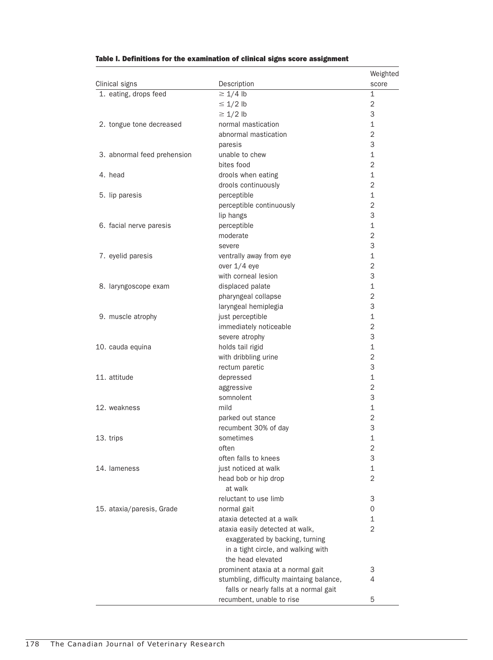| Clinical signs              | Description                                              | Weighted<br>score |
|-----------------------------|----------------------------------------------------------|-------------------|
| 1. eating, drops feed       | $\geq 1/4$ lb                                            | 1                 |
|                             | $\leq 1/2$ lb                                            | 2                 |
|                             | $\geq 1/2$ lb                                            | 3                 |
| 2. tongue tone decreased    | normal mastication                                       | $\mathbf 1$       |
|                             | abnormal mastication                                     | $\overline{2}$    |
|                             | paresis                                                  | 3                 |
| 3. abnormal feed prehension | unable to chew                                           | $\mathbf 1$       |
|                             | bites food                                               | $\overline{2}$    |
| 4. head                     | drools when eating                                       | $\mathbf 1$       |
|                             | drools continuously                                      | $\overline{2}$    |
| 5. lip paresis              | perceptible                                              | $\mathbf{1}$      |
|                             | perceptible continuously                                 | $\overline{2}$    |
|                             | lip hangs                                                | 3                 |
| 6. facial nerve paresis     | perceptible                                              | $\mathbf 1$       |
|                             | moderate                                                 | $\overline{2}$    |
|                             | severe                                                   | 3                 |
| 7. eyelid paresis           | ventrally away from eye                                  | $\mathbf{1}$      |
|                             | over 1/4 eye                                             | $\overline{2}$    |
|                             | with corneal lesion                                      | 3                 |
| 8. laryngoscope exam        | displaced palate                                         | $\mathbf{1}$      |
|                             | pharyngeal collapse                                      | $\overline{2}$    |
|                             | laryngeal hemiplegia                                     | 3                 |
| 9. muscle atrophy           | just perceptible                                         | $\mathbf{1}$      |
|                             | immediately noticeable                                   | $\overline{2}$    |
|                             | severe atrophy                                           | 3                 |
| 10. cauda equina            | holds tail rigid                                         | $\mathbf{1}$      |
|                             | with dribbling urine                                     | $\overline{2}$    |
|                             | rectum paretic                                           | 3                 |
| 11. attitude                | depressed                                                | $\mathbf{1}$      |
|                             | aggressive                                               | $\overline{2}$    |
|                             | somnolent                                                | 3                 |
| 12. weakness                | mild                                                     | $\mathbf{1}$      |
|                             | parked out stance                                        | $\overline{2}$    |
|                             | recumbent 30% of day                                     | 3                 |
| 13. trips                   | sometimes                                                | 1                 |
|                             | often                                                    | $\overline{c}$    |
|                             | often falls to knees                                     | 3                 |
| 14. lameness                | just noticed at walk                                     | $\mathbf 1$       |
|                             | head bob or hip drop                                     | $\overline{2}$    |
|                             | at walk                                                  |                   |
|                             | reluctant to use limb                                    | 3                 |
| 15. ataxia/paresis, Grade   | normal gait                                              | 0                 |
|                             | ataxia detected at a walk                                | 1                 |
|                             | ataxia easily detected at walk,                          | $\overline{2}$    |
|                             | exaggerated by backing, turning                          |                   |
|                             |                                                          |                   |
|                             | in a tight circle, and walking with<br>the head elevated |                   |
|                             |                                                          |                   |
|                             | prominent ataxia at a normal gait                        | 3<br>4            |
|                             | stumbling, difficulty maintaing balance,                 |                   |
|                             | falls or nearly falls at a normal gait                   |                   |
|                             | recumbent, unable to rise                                | 5                 |

#### Table I. Definitions for the examination of clinical signs score assignment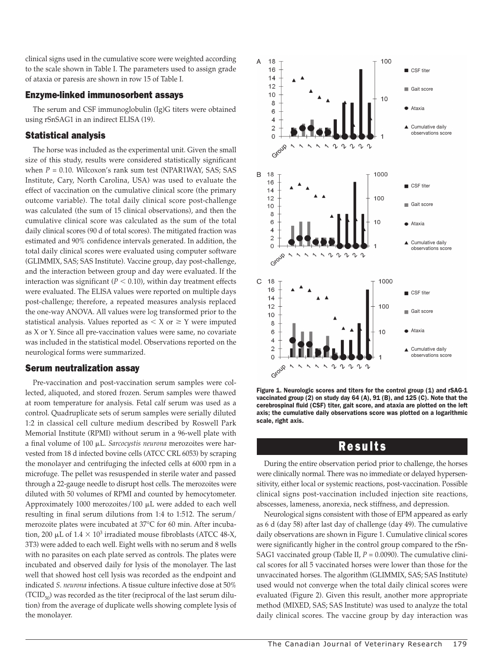clinical signs used in the cumulative score were weighted according to the scale shown in Table I. The parameters used to assign grade of ataxia or paresis are shown in row 15 of Table I.

#### Enzyme-linked immunosorbent assays

The serum and CSF immunoglobulin (Ig)G titers were obtained using rSnSAG1 in an indirect ELISA (19).

#### Statistical analysis

The horse was included as the experimental unit. Given the small size of this study, results were considered statistically significant when  $P = 0.10$ . Wilcoxon's rank sum test (NPAR1WAY, SAS; SAS) Institute, Cary, North Carolina, USA) was used to evaluate the effect of vaccination on the cumulative clinical score (the primary outcome variable). The total daily clinical score post-challenge was calculated (the sum of 15 clinical observations), and then the cumulative clinical score was calculated as the sum of the total daily clinical scores (90 d of total scores). The mitigated fraction was estimated and 90% confidence intervals generated. In addition, the total daily clinical scores were evaluated using computer software (GLIMMIX, SAS; SAS Institute). Vaccine group, day post-challenge, and the interaction between group and day were evaluated. If the interaction was significant ( $P < 0.10$ ), within day treatment effects were evaluated. The ELISA values were reported on multiple days post-challenge; therefore, a repeated measures analysis replaced the one-way ANOVA. All values were log transformed prior to the statistical analysis. Values reported as  $\lt X$  or  $\geq Y$  were imputed as X or Y. Since all pre-vaccination values were same, no covariate was included in the statistical model. Observations reported on the neurological forms were summarized.

#### Serum neutralization assay

Pre-vaccination and post-vaccination serum samples were collected, aliquoted, and stored frozen. Serum samples were thawed at room temperature for analysis. Fetal calf serum was used as a control. Quadruplicate sets of serum samples were serially diluted 1:2 in classical cell culture medium described by Roswell Park Memorial Institute (RPMI) without serum in a 96-well plate with a final volume of 100 mL. *Sarcocystis neurona* merozoites were harvested from 18 d infected bovine cells (ATCC CRL 6053) by scraping the monolayer and centrifuging the infected cells at 6000 rpm in a microfuge. The pellet was resuspended in sterile water and passed through a 22-gauge needle to disrupt host cells. The merozoites were diluted with 50 volumes of RPMI and counted by hemocytometer. Approximately 1000 merozoites/100 µL were added to each well resulting in final serum dilutions from 1:4 to 1:512. The serum/ merozoite plates were incubated at 37°C for 60 min. After incubation, 200  $\mu$ L of 1.4  $\times$  10<sup>3</sup> irradiated mouse fibroblasts (ATCC 48-X, 3T3) were added to each well. Eight wells with no serum and 8 wells with no parasites on each plate served as controls. The plates were incubated and observed daily for lysis of the monolayer. The last well that showed host cell lysis was recorded as the endpoint and indicated *S. neurona* infections. A tissue culture infective dose at 50%  $(TCID_{50})$  was recorded as the titer (reciprocal of the last serum dilution) from the average of duplicate wells showing complete lysis of the monolayer.



Figure 1. Neurologic scores and titers for the control group (1) and rSAG-1 vaccinated group (2) on study day 64 (A), 91 (B), and 125 (C). Note that the cerebrospinal fluid (CSF) titer, gait score, and ataxia are plotted on the left axis; the cumulative daily observations score was plotted on a logarithmic scale, right axis.

### Results

During the entire observation period prior to challenge, the horses were clinically normal. There was no immediate or delayed hypersensitivity, either local or systemic reactions, post-vaccination. Possible clinical signs post-vaccination included injection site reactions, abscesses, lameness, anorexia, neck stiffness, and depression.

Neurological signs consistent with those of EPM appeared as early as 6 d (day 58) after last day of challenge (day 49). The cumulative daily observations are shown in Figure 1. Cumulative clinical scores were significantly higher in the control group compared to the rSn-SAG1 vaccinated group (Table II,  $P = 0.0090$ ). The cumulative clinical scores for all 5 vaccinated horses were lower than those for the unvaccinated horses. The algorithm (GLIMMIX, SAS; SAS Institute) used would not converge when the total daily clinical scores were evaluated (Figure 2). Given this result, another more appropriate method (MIXED, SAS; SAS Institute) was used to analyze the total daily clinical scores. The vaccine group by day interaction was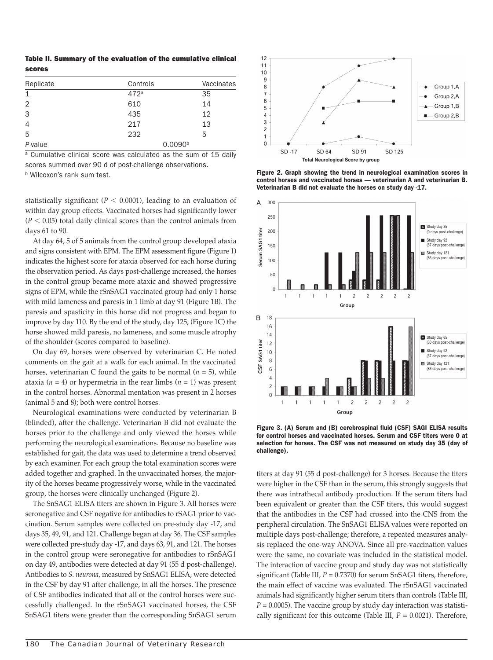Table II. Summary of the evaluation of the cumulative clinical scores

| Replicate      | Controls            | Vaccinates |
|----------------|---------------------|------------|
| $\mathbf{1}$   | 472 <sup>a</sup>    | 35         |
| 2              | 610                 | 14         |
| 3              | 435                 | 12         |
| $\overline{4}$ | 217                 | 13         |
| 5              | 232                 | 5          |
| P-value        | 0.0090 <sup>b</sup> |            |

<sup>a</sup> Cumulative clinical score was calculated as the sum of 15 daily scores summed over 90 d of post-challenge observations.

**b** Wilcoxon's rank sum test.

statistically significant ( $P < 0.0001$ ), leading to an evaluation of within day group effects. Vaccinated horses had significantly lower  $(P < 0.05)$  total daily clinical scores than the control animals from days 61 to 90.

At day 64, 5 of 5 animals from the control group developed ataxia and signs consistent with EPM. The EPM assessment figure (Figure 1) indicates the highest score for ataxia observed for each horse during the observation period. As days post-challenge increased, the horses in the control group became more ataxic and showed progressive signs of EPM, while the rSnSAG1 vaccinated group had only 1 horse with mild lameness and paresis in 1 limb at day 91 (Figure 1B). The paresis and spasticity in this horse did not progress and began to improve by day 110. By the end of the study, day 125, (Figure 1C) the horse showed mild paresis, no lameness, and some muscle atrophy of the shoulder (scores compared to baseline).

On day 69, horses were observed by veterinarian C. He noted comments on the gait at a walk for each animal. In the vaccinated horses, veterinarian C found the gaits to be normal  $(n = 5)$ , while ataxia ( $n = 4$ ) or hypermetria in the rear limbs ( $n = 1$ ) was present in the control horses. Abnormal mentation was present in 2 horses (animal 5 and 8); both were control horses.

Neurological examinations were conducted by veterinarian B (blinded), after the challenge. Veterinarian B did not evaluate the horses prior to the challenge and only viewed the horses while performing the neurological examinations. Because no baseline was established for gait, the data was used to determine a trend observed by each examiner. For each group the total examination scores were added together and graphed. In the unvaccinated horses, the majority of the horses became progressively worse, while in the vaccinated group, the horses were clinically unchanged (Figure 2).

The SnSAG1 ELISA titers are shown in Figure 3. All horses were seronegative and CSF negative for antibodies to rSAG1 prior to vaccination. Serum samples were collected on pre-study day -17, and days 35, 49, 91, and 121. Challenge began at day 36. The CSF samples were collected pre-study day -17, and days 63, 91, and 121. The horses in the control group were seronegative for antibodies to rSnSAG1 on day 49, antibodies were detected at day 91 (55 d post-challenge). Antibodies to *S. neurona,* measured by SnSAG1 ELISA, were detected in the CSF by day 91 after challenge, in all the horses. The presence of CSF antibodies indicated that all of the control horses were successfully challenged. In the rSnSAG1 vaccinated horses, the CSF SnSAG1 titers were greater than the corresponding SnSAG1 serum



Figure 2. Graph showing the trend in neurological examination scores in control horses and vaccinated horses — veterinarian A and veterinarian B. Veterinarian B did not evaluate the horses on study day -17.



Figure 3. (A) Serum and (B) cerebrospinal fluid (CSF) SAGI ELISA results for control horses and vaccinated horses. Serum and CSF titers were 0 at selection for horses. The CSF was not measured on study day 35 (day of challenge).

titers at day 91 (55 d post-challenge) for 3 horses. Because the titers were higher in the CSF than in the serum, this strongly suggests that there was intrathecal antibody production. If the serum titers had been equivalent or greater than the CSF titers, this would suggest that the antibodies in the CSF had crossed into the CNS from the peripheral circulation. The SnSAG1 ELISA values were reported on multiple days post-challenge; therefore, a repeated measures analysis replaced the one-way ANOVA. Since all pre-vaccination values were the same, no covariate was included in the statistical model. The interaction of vaccine group and study day was not statistically significant (Table III,  $P = 0.7370$ ) for serum SnSAG1 titers, therefore, the main effect of vaccine was evaluated. The rSnSAG1 vaccinated animals had significantly higher serum titers than controls (Table III,  $P = 0.0005$ ). The vaccine group by study day interaction was statistically significant for this outcome (Table III,  $P = 0.0021$ ). Therefore,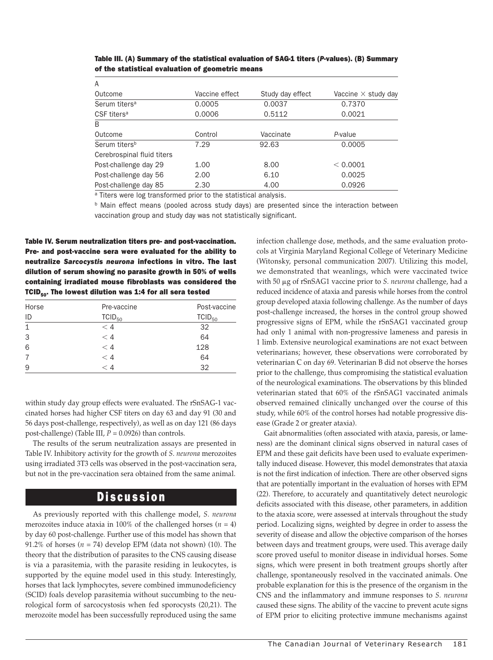| A                          |                |                  |                            |
|----------------------------|----------------|------------------|----------------------------|
| Outcome                    | Vaccine effect | Study day effect | Vaccine $\times$ study day |
| Serum titers <sup>a</sup>  | 0.0005         | 0.0037           | 0.7370                     |
| CSF titers <sup>a</sup>    | 0.0006         | 0.5112           | 0.0021                     |
| <sub>B</sub>               |                |                  |                            |
| Outcome                    | Control        | Vaccinate        | P-value                    |
| Serum titers <sup>b</sup>  | 7.29           | 92.63            | 0.0005                     |
| Cerebrospinal fluid titers |                |                  |                            |
| Post-challenge day 29      | 1.00           | 8.00             | < 0.0001                   |
| Post-challenge day 56      | 2.00           | 6.10             | 0.0025                     |
| Post-challenge day 85      | 2.30           | 4.00             | 0.0926                     |

Table III. (A) Summary of the statistical evaluation of SAG-1 titers (*P*-values). (B) Summary of the statistical evaluation of geometric means

<sup>a</sup> Titers were log transformed prior to the statistical analysis.

**b** Main effect means (pooled across study days) are presented since the interaction between vaccination group and study day was not statistically significant.

Table IV. Serum neutralization titers pre- and post-vaccination. Pre- and post-vaccine sera were evaluated for the ability to neutralize *Sarcocystis neurona* infections in vitro. The last dilution of serum showing no parasite growth in 50% of wells containing irradiated mouse fibroblasts was considered the TCID<sub>50</sub>. The lowest dilution was 1:4 for all sera tested

| Horse | Pre-vaccine | Post-vaccine |
|-------|-------------|--------------|
| ID    | $TCID_{50}$ | $TCID_{50}$  |
| 1     | $<$ 4       | 32           |
| 3     | < 4         | 64           |
| 6     | < 4         | 128          |
|       | < 4         | 64           |
| 9     | $\lt 4$     | 32           |

within study day group effects were evaluated. The rSnSAG-1 vaccinated horses had higher CSF titers on day 63 and day 91 (30 and 56 days post-challenge, respectively), as well as on day 121 (86 days post-challenge) (Table III, *P* = 0.0926) than controls.

The results of the serum neutralization assays are presented in Table IV. Inhibitory activity for the growth of *S. neurona* merozoites using irradiated 3T3 cells was observed in the post-vaccination sera, but not in the pre-vaccination sera obtained from the same animal.

### Discussion

As previously reported with this challenge model, *S. neurona*  merozoites induce ataxia in 100% of the challenged horses  $(n = 4)$ by day 60 post-challenge. Further use of this model has shown that 91.2% of horses  $(n = 74)$  develop EPM (data not shown) (10). The theory that the distribution of parasites to the CNS causing disease is via a parasitemia, with the parasite residing in leukocytes, is supported by the equine model used in this study. Interestingly, horses that lack lymphocytes, severe combined immunodeficiency (SCID) foals develop parasitemia without succumbing to the neurological form of sarcocystosis when fed sporocysts (20,21). The merozoite model has been successfully reproduced using the same infection challenge dose, methods, and the same evaluation protocols at Virginia Maryland Regional College of Veterinary Medicine (Witonsky, personal communication 2007). Utilizing this model, we demonstrated that weanlings, which were vaccinated twice with 50 mg of rSnSAG1 vaccine prior to *S. neurona* challenge, had a reduced incidence of ataxia and paresis while horses from the control group developed ataxia following challenge. As the number of days post-challenge increased, the horses in the control group showed progressive signs of EPM, while the rSnSAG1 vaccinated group had only 1 animal with non-progressive lameness and paresis in 1 limb. Extensive neurological examinations are not exact between veterinarians; however, these observations were corroborated by veterinarian C on day 69. Veterinarian B did not observe the horses prior to the challenge, thus compromising the statistical evaluation of the neurological examinations. The observations by this blinded veterinarian stated that 60% of the rSnSAG1 vaccinated animals observed remained clinically unchanged over the course of this study, while 60% of the control horses had notable progressive disease (Grade 2 or greater ataxia).

Gait abnormalities (often associated with ataxia, paresis, or lameness) are the dominant clinical signs observed in natural cases of EPM and these gait deficits have been used to evaluate experimentally induced disease. However, this model demonstrates that ataxia is not the first indication of infection. There are other observed signs that are potentially important in the evaluation of horses with EPM (22). Therefore, to accurately and quantitatively detect neurologic deficits associated with this disease, other parameters, in addition to the ataxia score, were assessed at intervals throughout the study period. Localizing signs, weighted by degree in order to assess the severity of disease and allow the objective comparison of the horses between days and treatment groups, were used. This average daily score proved useful to monitor disease in individual horses. Some signs, which were present in both treatment groups shortly after challenge, spontaneously resolved in the vaccinated animals. One probable explanation for this is the presence of the organism in the CNS and the inflammatory and immune responses to *S. neurona*  caused these signs. The ability of the vaccine to prevent acute signs of EPM prior to eliciting protective immune mechanisms against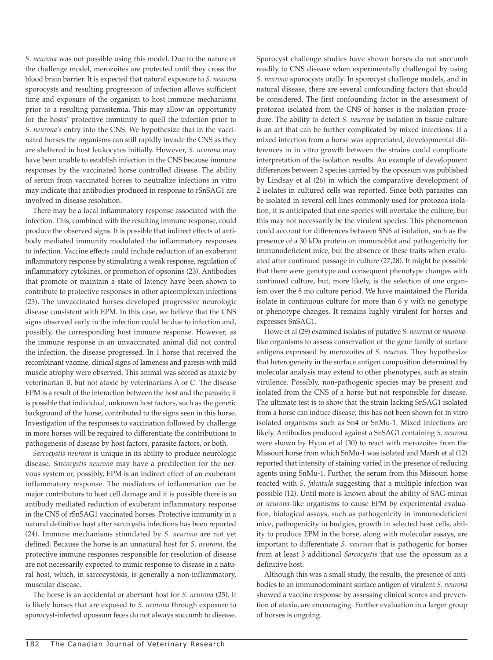*S. neurona* was not possible using this model. Due to the nature of the challenge model, merozoites are protected until they cross the blood brain barrier. It is expected that natural exposure to *S. neurona*  sporocysts and resulting progression of infection allows sufficient time and exposure of the organism to host immune mechanisms prior to a resulting parasitemia. This may allow an opportunity for the hosts' protective immunity to quell the infection prior to *S. neurona's* entry into the CNS. We hypothesize that in the vaccinated horses the organisms can still rapidly invade the CNS as they are sheltered in host leukocytes initially. However, *S. neurona* may have been unable to establish infection in the CNS because immune responses by the vaccinated horse controlled disease. The ability of serum from vaccinated horses to neutralize infections in vitro may indicate that antibodies produced in response to rSnSAG1 are involved in disease resolution.

There may be a local inflammatory response associated with the infection. This, combined with the resulting immune response, could produce the observed signs. It is possible that indirect effects of antibody mediated immunity modulated the inflammatory responses to infection. Vaccine effects could include reduction of an exuberant inflammatory response by stimulating a weak response, regulation of inflammatory cytokines, or promotion of opsonins (23). Antibodies that promote or maintain a state of latency have been shown to contribute to protective responses in other apicomplexan infections (23). The unvaccinated horses developed progressive neurologic disease consistent with EPM. In this case, we believe that the CNS signs observed early in the infection could be due to infection and, possibly, the corresponding host immune response. However, as the immune response in an unvaccinated animal did not control the infection, the disease progressed. In 1 horse that received the recombinant vaccine, clinical signs of lameness and paresis with mild muscle atrophy were observed. This animal was scored as ataxic by veterinarian B, but not ataxic by veterinarians A or C. The disease EPM is a result of the interaction between the host and the parasite; it is possible that individual, unknown host factors, such as the genetic background of the horse, contributed to the signs seen in this horse. Investigation of the responses to vaccination followed by challenge in more horses will be required to differentiate the contributions to pathogenesis of disease by host factors, parasite factors, or both.

*Sarcocystis neurona* is unique in its ability to produce neurologic disease. *Sarcocystis neurona* may have a predilection for the nervous system or, possibly, EPM is an indirect effect of an exuberant inflammatory response. The mediators of inflammation can be major contributors to host cell damage and it is possible there is an antibody mediated reduction of exuberant inflammatory response in the CNS of rSnSAG1 vaccinated horses. Protective immunity in a natural definitive host after *sarcocystis* infections has been reported (24). Immune mechanisms stimulated by *S. neurona* are not yet defined. Because the horse is an unnatural host for *S. neurona,* the protective immune responses responsible for resolution of disease are not necessarily expected to mimic response to disease in a natural host, which, in sarcocystosis, is generally a non-inflammatory, muscular disease.

The horse is an accidental or aberrant host for *S. neurona* (25). It is likely horses that are exposed to *S. neurona* through exposure to sporocyst-infected opossum feces do not always succumb to disease.

Sporocyst challenge studies have shown horses do not succumb readily to CNS disease when experimentally challenged by using *S. neurona* sporocysts orally. In sporocyst challenge models, and in natural disease, there are several confounding factors that should be considered. The first confounding factor in the assessment of protozoa isolated from the CNS of horses is the isolation procedure. The ability to detect *S. neurona* by isolation in tissue culture is an art that can be further complicated by mixed infections. If a mixed infection from a horse was appreciated, developmental differences in in vitro growth between the strains could complicate interpretation of the isolation results. An example of development differences between 2 species carried by the opossum was published by Lindsay et al (26) in which the comparative development of 2 isolates in cultured cells was reported. Since both parasites can be isolated in several cell lines commonly used for protozoa isolation, it is anticipated that one species will overtake the culture, but this may not necessarily be the virulent species. This phenomenon could account for differences between SN6 at isolation, such as the presence of a 30 kDa protein on immunoblot and pathogenicity for immunodeficient mice, but the absence of these traits when evaluated after continued passage in culture (27,28). It might be possible that there were genotype and consequent phenotype changes with continued culture, but, more likely, is the selection of one organism over the 8 mo culture period. We have maintained the Florida isolate in continuous culture for more than 6 y with no genotype or phenotype changes. It remains highly virulent for horses and expresses SnSAG1.

Howe et al (29) examined isolates of putative *S. neurona* or *neurona*like organisms to assess conservation of the gene family of surface antigens expressed by merozoites of *S. neurona.* They hypothesize that heterogeneity in the surface antigen composition determined by molecular analysis may extend to other phenotypes, such as strain virulence. Possibly, non-pathogenic species may be present and isolated from the CNS of a horse but not responsible for disease. The ultimate test is to show that the strain lacking SnSAG1 isolated from a horse can induce disease; this has not been shown for in vitro isolated organisms such as Sn4 or SnMu-1. Mixed infections are likely. Antibodies produced against a SnSAG1 containing *S. neurona* were shown by Hyun et al (30) to react with merozoites from the Missouri horse from which SnMu-1 was isolated and Marsh et al (12) reported that intensity of staining varied in the presence of reducing agents using SnMu-1. Further, the serum from this Missouri horse reacted with *S. falcatula* suggesting that a multiple infection was possible (12). Until more is known about the ability of SAG-minus or *neurona*-like organisms to cause EPM by experimental evaluation, biological assays, such as pathogenicity in immunodeficient mice, pathogenicity in budgies, growth in selected host cells, ability to produce EPM in the horse, along with molecular assays, are important to differentiate *S. neurona* that is pathogenic for horses from at least 3 additional *Sarcocystis* that use the opossum as a definitive host.

Although this was a small study, the results, the presence of antibodies to an immunodominant surface antigen of virulent *S. neurona* showed a vaccine response by assessing clinical scores and prevention of ataxia, are encouraging. Further evaluation in a larger group of horses is ongoing.